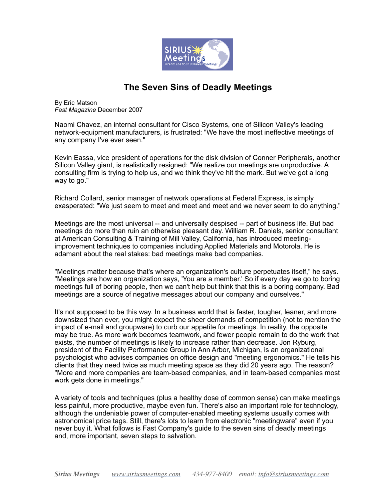

## **The Seven Sins of Deadly Meetings**

By [Eric Matson](http://www.fastcompany.com/user/8) *Fast Magazine* December 2007

Naomi Chavez, an internal consultant for Cisco Systems, one of Silicon Valley's leading network-equipment manufacturers, is frustrated: "We have the most ineffective meetings of any company I've ever seen."

Kevin Eassa, vice president of operations for the disk division of Conner Peripherals, another Silicon Valley giant, is realistically resigned: "We realize our meetings are unproductive. A consulting firm is trying to help us, and we think they've hit the mark. But we've got a long way to go."

Richard Collard, senior manager of network operations at Federal Express, is simply exasperated: "We just seem to meet and meet and meet and we never seem to do anything."

Meetings are the most universal -- and universally despised -- part of business life. But bad meetings do more than ruin an otherwise pleasant day. William R. Daniels, senior consultant at American Consulting & Training of Mill Valley, California, has introduced meetingimprovement techniques to companies including Applied Materials and Motorola. He is adamant about the real stakes: bad meetings make bad companies.

"Meetings matter because that's where an organization's culture perpetuates itself," he says. "Meetings are how an organization says, 'You are a member.' So if every day we go to boring meetings full of boring people, then we can't help but think that this is a boring company. Bad meetings are a source of negative messages about our company and ourselves."

It's not supposed to be this way. In a business world that is faster, tougher, leaner, and more downsized than ever, you might expect the sheer demands of competition (not to mention the impact of e-mail and groupware) to curb our appetite for meetings. In reality, the opposite may be true. As more work becomes teamwork, and fewer people remain to do the work that exists, the number of meetings is likely to increase rather than decrease. Jon Ryburg, president of the Facility Performance Group in Ann Arbor, Michigan, is an organizational psychologist who advises companies on office design and "meeting ergonomics." He tells his clients that they need twice as much meeting space as they did 20 years ago. The reason? "More and more companies are team-based companies, and in team-based companies most work gets done in meetings."

A variety of tools and techniques (plus a healthy dose of common sense) can make meetings less painful, more productive, maybe even fun. There's also an important role for technology, although the undeniable power of computer-enabled meeting systems usually comes with astronomical price tags. Still, there's lots to learn from electronic "meetingware" even if you never buy it. What follows is Fast Company's guide to the seven sins of deadly meetings and, more important, seven steps to salvation.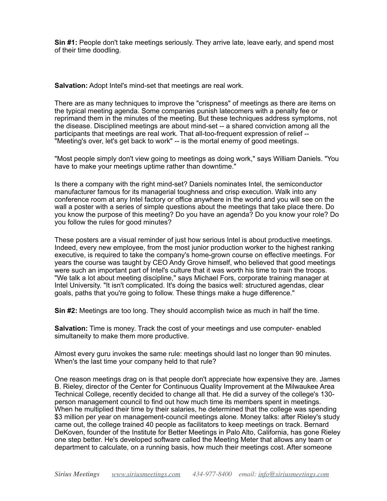**Sin #1:** People don't take meetings seriously. They arrive late, leave early, and spend most of their time doodling.

**Salvation:** Adopt Intel's mind-set that meetings are real work.

There are as many techniques to improve the "crispness" of meetings as there are items on the typical meeting agenda. Some companies punish latecomers with a penalty fee or reprimand them in the minutes of the meeting. But these techniques address symptoms, not the disease. Disciplined meetings are about mind-set -- a shared conviction among all the participants that meetings are real work. That all-too-frequent expression of relief -- "Meeting's over, let's get back to work" -- is the mortal enemy of good meetings.

"Most people simply don't view going to meetings as doing work," says William Daniels. "You have to make your meetings uptime rather than downtime."

Is there a company with the right mind-set? Daniels nominates Intel, the semiconductor manufacturer famous for its managerial toughness and crisp execution. Walk into any conference room at any Intel factory or office anywhere in the world and you will see on the wall a poster with a series of simple questions about the meetings that take place there. Do you know the purpose of this meeting? Do you have an agenda? Do you know your role? Do you follow the rules for good minutes?

These posters are a visual reminder of just how serious Intel is about productive meetings. Indeed, every new employee, from the most junior production worker to the highest ranking executive, is required to take the company's home-grown course on effective meetings. For years the course was taught by CEO Andy Grove himself, who believed that good meetings were such an important part of Intel's culture that it was worth his time to train the troops. "We talk a lot about meeting discipline," says Michael Fors, corporate training manager at Intel University. "It isn't complicated. It's doing the basics well: structured agendas, clear goals, paths that you're going to follow. These things make a huge difference."

**Sin #2:** Meetings are too long. They should accomplish twice as much in half the time.

**Salvation:** Time is money. Track the cost of your meetings and use computer- enabled simultaneity to make them more productive.

Almost every guru invokes the same rule: meetings should last no longer than 90 minutes. When's the last time your company held to that rule?

One reason meetings drag on is that people don't appreciate how expensive they are. James B. Rieley, director of the Center for Continuous Quality Improvement at the Milwaukee Area Technical College, recently decided to change all that. He did a survey of the college's 130 person management council to find out how much time its members spent in meetings. When he multiplied their time by their salaries, he determined that the college was spending \$3 million per year on management-council meetings alone. Money talks: after Rieley's study came out, the college trained 40 people as facilitators to keep meetings on track. Bernard DeKoven, founder of the Institute for Better Meetings in Palo Alto, California, has gone Rieley one step better. He's developed software called the Meeting Meter that allows any team or department to calculate, on a running basis, how much their meetings cost. After someone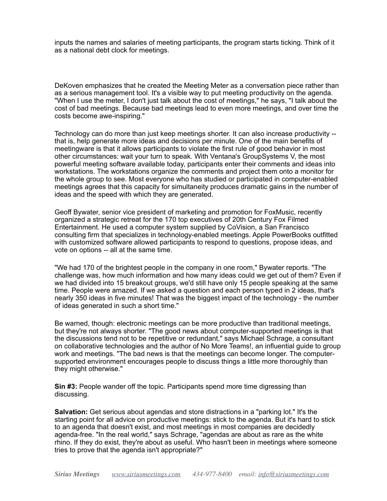inputs the names and salaries of meeting participants, the program starts ticking. Think of it as a national debt clock for meetings.

DeKoven emphasizes that he created the Meeting Meter as a conversation piece rather than as a serious management tool. It's a visible way to put meeting productivity on the agenda. "When I use the meter, I don't just talk about the cost of meetings," he says, "I talk about the cost of bad meetings. Because bad meetings lead to even more meetings, and over time the costs become awe-inspiring."

Technology can do more than just keep meetings shorter. It can also increase productivity - that is, help generate more ideas and decisions per minute. One of the main benefits of meetingware is that it allows participants to violate the first rule of good behavior in most other circumstances: wait your turn to speak. With Ventana's GroupSystems V, the most powerful meeting software available today, participants enter their comments and ideas into workstations. The workstations organize the comments and project them onto a monitor for the whole group to see. Most everyone who has studied or participated in computer-enabled meetings agrees that this capacity for simultaneity produces dramatic gains in the number of ideas and the speed with which they are generated.

Geoff Bywater, senior vice president of marketing and promotion for FoxMusic, recently organized a strategic retreat for the 170 top executives of 20th Century Fox Filmed Entertainment. He used a computer system supplied by CoVision, a San Francisco consulting firm that specializes in technology-enabled meetings. Apple PowerBooks outfitted with customized software allowed participants to respond to questions, propose ideas, and vote on options -- all at the same time.

"We had 170 of the brightest people in the company in one room," Bywater reports. "The challenge was, how much information and how many ideas could we get out of them? Even if we had divided into 15 breakout groups, we'd still have only 15 people speaking at the same time. People were amazed. If we asked a question and each person typed in 2 ideas, that's nearly 350 ideas in five minutes! That was the biggest impact of the technology - the number of ideas generated in such a short time."

Be warned, though: electronic meetings can be more productive than traditional meetings, but they're not always shorter. "The good news about computer-supported meetings is that the discussions tend not to be repetitive or redundant," says Michael Schrage, a consultant on collaborative technologies and the author of No More Teams!, an influential guide to group work and meetings. "The bad news is that the meetings can become longer. The computersupported environment encourages people to discuss things a little more thoroughly than they might otherwise."

**Sin #3:** People wander off the topic. Participants spend more time digressing than discussing.

**Salvation:** Get serious about agendas and store distractions in a "parking lot." It's the starting point for all advice on productive meetings: stick to the agenda. But it's hard to stick to an agenda that doesn't exist, and most meetings in most companies are decidedly agenda-free. "In the real world," says Schrage, "agendas are about as rare as the white rhino. If they do exist, they're about as useful. Who hasn't been in meetings where someone tries to prove that the agenda isn't appropriate?"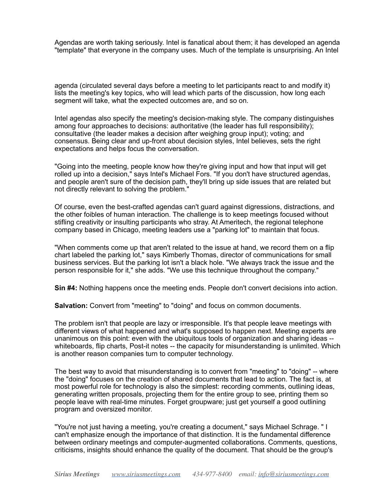Agendas are worth taking seriously. Intel is fanatical about them; it has developed an agenda "template" that everyone in the company uses. Much of the template is unsurprising. An Intel

agenda (circulated several days before a meeting to let participants react to and modify it) lists the meeting's key topics, who will lead which parts of the discussion, how long each segment will take, what the expected outcomes are, and so on.

Intel agendas also specify the meeting's decision-making style. The company distinguishes among four approaches to decisions: authoritative (the leader has full responsibility); consultative (the leader makes a decision after weighing group input); voting; and consensus. Being clear and up-front about decision styles, Intel believes, sets the right expectations and helps focus the conversation.

"Going into the meeting, people know how they're giving input and how that input will get rolled up into a decision," says Intel's Michael Fors. "If you don't have structured agendas, and people aren't sure of the decision path, they'll bring up side issues that are related but not directly relevant to solving the problem."

Of course, even the best-crafted agendas can't guard against digressions, distractions, and the other foibles of human interaction. The challenge is to keep meetings focused without stifling creativity or insulting participants who stray. At Ameritech, the regional telephone company based in Chicago, meeting leaders use a "parking lot" to maintain that focus.

"When comments come up that aren't related to the issue at hand, we record them on a flip chart labeled the parking lot," says Kimberly Thomas, director of communications for small business services. But the parking lot isn't a black hole. "We always track the issue and the person responsible for it," she adds. "We use this technique throughout the company."

**Sin #4:** Nothing happens once the meeting ends. People don't convert decisions into action.

**Salvation:** Convert from "meeting" to "doing" and focus on common documents.

The problem isn't that people are lazy or irresponsible. It's that people leave meetings with different views of what happened and what's supposed to happen next. Meeting experts are unanimous on this point: even with the ubiquitous tools of organization and sharing ideas - whiteboards, flip charts, Post-it notes -- the capacity for misunderstanding is unlimited. Which is another reason companies turn to computer technology.

The best way to avoid that misunderstanding is to convert from "meeting" to "doing" -- where the "doing" focuses on the creation of shared documents that lead to action. The fact is, at most powerful role for technology is also the simplest: recording comments, outlining ideas, generating written proposals, projecting them for the entire group to see, printing them so people leave with real-time minutes. Forget groupware; just get yourself a good outlining program and oversized monitor.

"You're not just having a meeting, you're creating a document," says Michael Schrage. " I can't emphasize enough the importance of that distinction. It is the fundamental difference between ordinary meetings and computer-augmented collaborations. Comments, questions, criticisms, insights should enhance the quality of the document. That should be the group's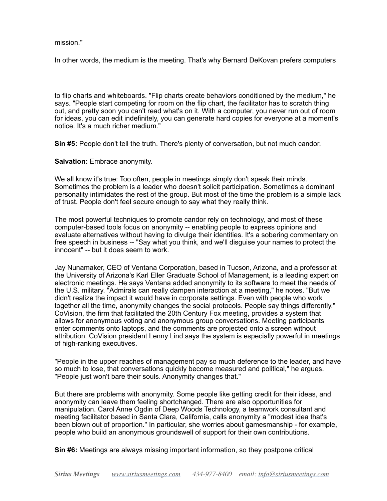mission."

In other words, the medium is the meeting. That's why Bernard DeKovan prefers computers

to flip charts and whiteboards. "Flip charts create behaviors conditioned by the medium," he says. "People start competing for room on the flip chart, the facilitator has to scratch thing out, and pretty soon you can't read what's on it. With a computer, you never run out of room for ideas, you can edit indefinitely, you can generate hard copies for everyone at a moment's notice. It's a much richer medium."

**Sin #5:** People don't tell the truth. There's plenty of conversation, but not much candor.

**Salvation:** Embrace anonymity.

We all know it's true: Too often, people in meetings simply don't speak their minds. Sometimes the problem is a leader who doesn't solicit participation. Sometimes a dominant personality intimidates the rest of the group. But most of the time the problem is a simple lack of trust. People don't feel secure enough to say what they really think.

The most powerful techniques to promote candor rely on technology, and most of these computer-based tools focus on anonymity -- enabling people to express opinions and evaluate alternatives without having to divulge their identities. It's a sobering commentary on free speech in business -- "Say what you think, and we'll disguise your names to protect the innocent" -- but it does seem to work.

Jay Nunamaker, CEO of Ventana Corporation, based in Tucson, Arizona, and a professor at the University of Arizona's Karl Eller Graduate School of Management, is a leading expert on electronic meetings. He says Ventana added anonymity to its software to meet the needs of the U.S. military. "Admirals can really dampen interaction at a meeting," he notes. "But we didn't realize the impact it would have in corporate settings. Even with people who work together all the time, anonymity changes the social protocols. People say things differently." CoVision, the firm that facilitated the 20th Century Fox meeting, provides a system that allows for anonymous voting and anonymous group conversations. Meeting participants enter comments onto laptops, and the comments are projected onto a screen without attribution. CoVision president Lenny Lind says the system is especially powerful in meetings of high-ranking executives.

"People in the upper reaches of management pay so much deference to the leader, and have so much to lose, that conversations quickly become measured and political," he argues. "People just won't bare their souls. Anonymity changes that."

But there are problems with anonymity. Some people like getting credit for their ideas, and anonymity can leave them feeling shortchanged. There are also opportunities for manipulation. Carol Anne Ogdin of Deep Woods Technology, a teamwork consultant and meeting facilitator based in Santa Clara, California, calls anonymity a "modest idea that's been blown out of proportion." In particular, she worries about gamesmanship - for example, people who build an anonymous groundswell of support for their own contributions.

**Sin #6:** Meetings are always missing important information, so they postpone critical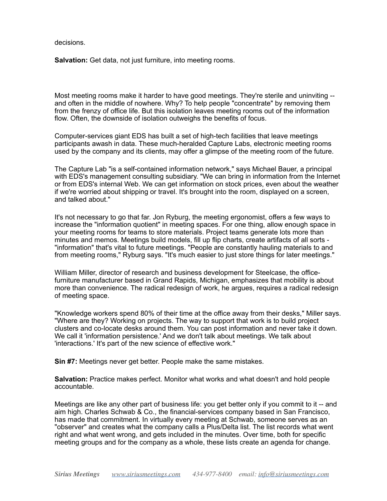decisions.

**Salvation:** Get data, not just furniture, into meeting rooms.

Most meeting rooms make it harder to have good meetings. They're sterile and uninviting - and often in the middle of nowhere. Why? To help people "concentrate" by removing them from the frenzy of office life. But this isolation leaves meeting rooms out of the information flow. Often, the downside of isolation outweighs the benefits of focus.

Computer-services giant EDS has built a set of high-tech facilities that leave meetings participants awash in data. These much-heralded Capture Labs, electronic meeting rooms used by the company and its clients, may offer a glimpse of the meeting room of the future.

The Capture Lab "is a self-contained information network," says Michael Bauer, a principal with EDS's management consulting subsidiary. "We can bring in information from the Internet or from EDS's internal Web. We can get information on stock prices, even about the weather if we're worried about shipping or travel. It's brought into the room, displayed on a screen, and talked about."

It's not necessary to go that far. Jon Ryburg, the meeting ergonomist, offers a few ways to increase the "information quotient" in meeting spaces. For one thing, allow enough space in your meeting rooms for teams to store materials. Project teams generate lots more than minutes and memos. Meetings build models, fill up flip charts, create artifacts of all sorts - "information" that's vital to future meetings. "People are constantly hauling materials to and from meeting rooms," Ryburg says. "It's much easier to just store things for later meetings."

William Miller, director of research and business development for Steelcase, the officefurniture manufacturer based in Grand Rapids, Michigan, emphasizes that mobility is about more than convenience. The radical redesign of work, he argues, requires a radical redesign of meeting space.

"Knowledge workers spend 80% of their time at the office away from their desks," Miller says. "Where are they? Working on projects. The way to support that work is to build project clusters and co-locate desks around them. You can post information and never take it down. We call it 'information persistence.' And we don't talk about meetings. We talk about 'interactions.' It's part of the new science of effective work."

**Sin #7:** Meetings never get better. People make the same mistakes.

**Salvation:** Practice makes perfect. Monitor what works and what doesn't and hold people accountable.

Meetings are like any other part of business life: you get better only if you commit to it -- and aim high. Charles Schwab & Co., the financial-services company based in San Francisco, has made that commitment. In virtually every meeting at Schwab, someone serves as an "observer" and creates what the company calls a Plus/Delta list. The list records what went right and what went wrong, and gets included in the minutes. Over time, both for specific meeting groups and for the company as a whole, these lists create an agenda for change.